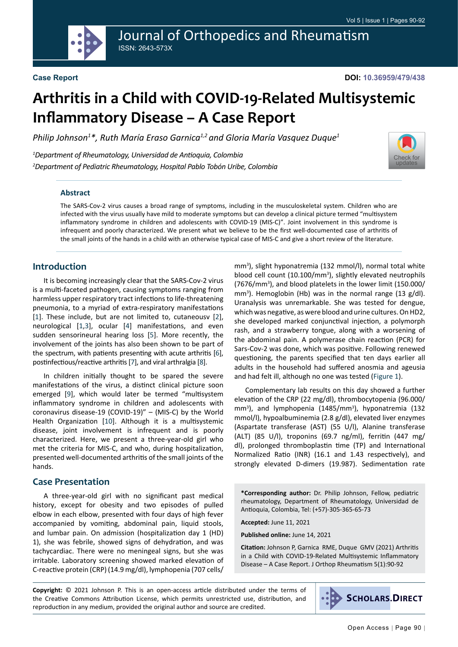**DOI: 10.36959/479/438**

# **Arthritis in a Child with COVID-19-Related Multisystemic Inflammatory Disease – A Case Report**

Journal of Orthopedics and Rheumatism

*Philip Johnson1 \*, Ruth María Eraso Garnica1,2 and Gloria María Vasquez Duque1*

*1 Department of Rheumatology, Universidad de Antioquia, Colombia 2 Department of Pediatric Rheumatology, Hospital Pablo Tobón Uribe, Colombia*

ISSN: 2643-573X



#### **Abstract**

The SARS-Cov-2 virus causes a broad range of symptoms, including in the musculoskeletal system. Children who are infected with the virus usually have mild to moderate symptoms but can develop a clinical picture termed "multisystem inflammatory syndrome in children and adolescents with COVID-19 (MIS-C)". Joint involvement in this syndrome is infrequent and poorly characterized. We present what we believe to be the first well-documented case of arthritis of the small joints of the hands in a child with an otherwise typical case of MIS-C and give a short review of the literature.

#### **Introduction**

It is becoming increasingly clear that the SARS-Cov-2 virus is a multi-faceted pathogen, causing symptoms ranging from harmless upper respiratory tract infections to life-threatening pneumonia, to a myriad of extra-respiratory manifestations [[1](#page-2-0)]. These include, but are not limited to, cutaneousv [[2](#page-2-1)], neurological [[1](#page-2-0)[,3](#page-2-2)], ocular [\[4](#page-2-3)] manifestations, and even sudden sensorineural hearing loss [[5\]](#page-2-4). More recently, the involvement of the joints has also been shown to be part of the spectrum, with patients presenting with acute arthritis [\[6](#page-2-5)], postinfectious/reactive arthritis [\[7\]](#page-2-6), and viral arthralgia [[8](#page-2-7)].

In children initially thought to be spared the severe manifestations of the virus, a distinct clinical picture soon emerged [\[9](#page-2-8)], which would later be termed "multisystem inflammatory syndrome in children and adolescents with coronavirus disease-19 (COVID-19)" – (MIS-C) by the World Health Organization [[10](#page-2-9)]. Although it is a multisystemic disease, joint involvement is infrequent and is poorly characterized. Here, we present a three-year-old girl who met the criteria for MIS-C, and who, during hospitalization, presented well-documented arthritis of the small joints of the hands.

#### **Case Presentation**

A three-year-old girl with no significant past medical history, except for obesity and two episodes of pulled elbow in each elbow, presented with four days of high fever accompanied by vomiting, abdominal pain, liquid stools, and lumbar pain. On admission (hospitalization day 1 (HD) 1), she was febrile, showed signs of dehydration, and was tachycardiac. There were no meningeal signs, but she was irritable. Laboratory screening showed marked elevation of C-reactive protein (CRP) (14.9 mg/dl), lymphopenia (707 cells/

mm3 ), slight hyponatremia (132 mmol/l), normal total white blood cell count (10.100/mm<sup>3</sup>), slightly elevated neutrophils (7676/mm<sup>3</sup>), and blood platelets in the lower limit (150.000/ mm3 ). Hemoglobin (Hb) was in the normal range (13 g/dl). Uranalysis was unremarkable. She was tested for dengue, which was negative, as were blood and urine cultures. On HD2, she developed marked conjunctival injection, a polymorph rash, and a strawberry tongue, along with a worsening of the abdominal pain. A polymerase chain reaction (PCR) for Sars-Cov-2 was done, which was positive. Following renewed questioning, the parents specified that ten days earlier all adults in the household had suffered anosmia and ageusia and had felt ill, although no one was tested (Figure 1).

Complementary lab results on this day showed a further elevation of the CRP (22 mg/dl), thrombocytopenia (96.000/ mm<sup>3</sup>), and lymphopenia (1485/mm<sup>3</sup>), hyponatremia (132 mmol/l), hypoalbuminemia (2.8 g/dl), elevated liver enzymes (Aspartate transferase (AST) (55 U/l), Alanine transferase (ALT) (85 U/l), troponins (69.7 ng/ml), ferritin (447 mg/ dl), prolonged thromboplastin time (TP) and International Normalized Ratio (INR) (16.1 and 1.43 respectively), and strongly elevated D-dimers (19.987). Sedimentation rate

**\*Corresponding author:** Dr. Philip Johnson, Fellow, pediatric rheumatology, Department of Rheumatology, Universidad de Antioquia, Colombia, Tel: (+57)-305-365-65-73

**Accepted:** June 11, 2021

**Published online:** June 14, 2021

**Citation:** Johnson P, Garnica RME, Duque GMV (2021) Arthritis in a Child with COVID-19-Related Multisystemic Inflammatory Disease – A Case Report. J Orthop Rheumatism 5(1):90-92

**Copyright:** © 2021 Johnson P. This is an open-access article distributed under the terms of the Creative Commons Attribution License, which permits unrestricted use, distribution, and reproduction in any medium, provided the original author and source are credited.

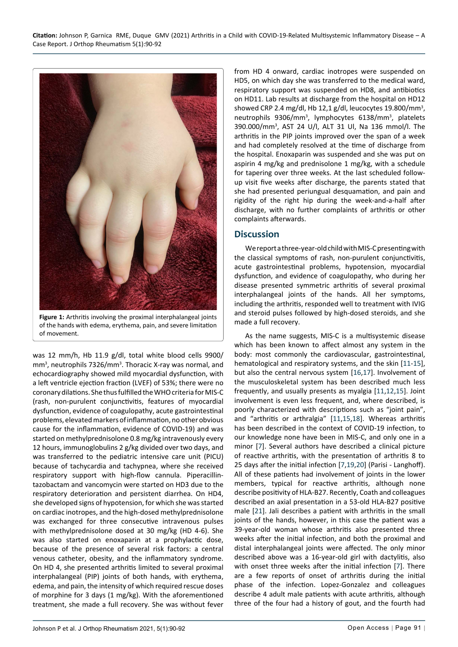

**Figure 1:** Arthritis involving the proximal interphalangeal joints of the hands with edema, erythema, pain, and severe limitation of movement.

was 12 mm/h, Hb 11.9 g/dl, total white blood cells 9900/ mm<sup>3</sup>, neutrophils 7326/mm<sup>3</sup>. Thoracic X-ray was normal, and echocardiography showed mild myocardial dysfunction, with a left ventricle ejection fraction (LVEF) of 53%; there were no coronary dilations. She thus fulfilled the WHO criteria for MIS-C (rash, non-purulent conjunctivitis, features of myocardial dysfunction, evidence of coagulopathy, acute gastrointestinal problems, elevated markers of inflammation, no other obvious cause for the inflammation, evidence of COVID-19) and was started on methylprednisolone 0.8 mg/kg intravenously every 12 hours, immunoglobulins 2 g/kg divided over two days, and was transferred to the pediatric intensive care unit (PICU) because of tachycardia and tachypnea, where she received respiratory support with high-flow cannula. Piperacillintazobactam and vancomycin were started on HD3 due to the respiratory deterioration and persistent diarrhea. On HD4, she developed signs of hypotension, for which she was started on cardiac inotropes, and the high-dosed methylprednisolone was exchanged for three consecutive intravenous pulses with methylprednisolone dosed at 30 mg/kg (HD 4-6). She was also started on enoxaparin at a prophylactic dose, because of the presence of several risk factors: a central venous catheter, obesity, and the inflammatory syndrome. On HD 4, she presented arthritis limited to several proximal interphalangeal (PIP) joints of both hands, with erythema, edema, and pain, the intensity of which required rescue doses of morphine for 3 days (1 mg/kg). With the aforementioned treatment, she made a full recovery. She was without fever

from HD 4 onward, cardiac inotropes were suspended on HD5, on which day she was transferred to the medical ward, respiratory support was suspended on HD8, and antibiotics on HD11. Lab results at discharge from the hospital on HD12 showed CRP 2.4 mg/dl, Hb 12,1 g/dl, leucocytes 19.800/mm<sup>3</sup>, neutrophils 9306/mm<sup>3</sup>, lymphocytes 6138/mm<sup>3</sup>, platelets 390.000/mm3 , AST 24 U/l, ALT 31 Ul, Na 136 mmol/l. The arthritis in the PIP joints improved over the span of a week and had completely resolved at the time of discharge from the hospital. Enoxaparin was suspended and she was put on aspirin 4 mg/kg and prednisolone 1 mg/kg, with a schedule for tapering over three weeks. At the last scheduled followup visit five weeks after discharge, the parents stated that she had presented periungual desquamation, and pain and rigidity of the right hip during the week-and-a-half after discharge, with no further complaints of arthritis or other complaints afterwards.

# **Discussion**

We report a three-year-old child with MIS-C presenting with the classical symptoms of rash, non-purulent conjunctivitis, acute gastrointestinal problems, hypotension, myocardial dysfunction, and evidence of coagulopathy, who during her disease presented symmetric arthritis of several proximal interphalangeal joints of the hands. All her symptoms, including the arthritis, responded well to treatment with IVIG and steroid pulses followed by high-dosed steroids, and she made a full recovery.

As the name suggests, MIS-C is a multisystemic disease which has been known to affect almost any system in the body: most commonly the cardiovascular, gastrointestinal, hematological and respiratory systems, and the skin [[11](#page-2-10)-[15](#page-2-11)], but also the central nervous system [\[16](#page-2-12),[17](#page-2-13)]. Involvement of the musculoskeletal system has been described much less frequently, and usually presents as myalgia [[11](#page-2-10),[12](#page-2-14),[15\]](#page-2-11). Joint involvement is even less frequent, and, where described, is poorly characterized with descriptions such as "joint pain", and "arthritis or arthralgia" [[11](#page-2-10)[,15,](#page-2-11)[18](#page-2-15)]. Whereas arthritis has been described in the context of COVID-19 infection, to our knowledge none have been in MIS-C, and only one in a minor [[7\]](#page-2-6). Several authors have described a clinical picture of reactive arthritis, with the presentation of arthritis 8 to 25 days after the initial infection [\[7](#page-2-6),[19,](#page-2-16)[20](#page-2-17)] (Parisi - Langhoff). All of these patients had involvement of joints in the lower members, typical for reactive arthritis, although none describe positivity of HLA-B27. Recently, Coath and colleagues described an axial presentation in a 53-old HLA-B27 positive male [[21](#page-2-18)]. Jali describes a patient with arthritis in the small joints of the hands, however, in this case the patient was a 39-year-old woman whose arthritis also presented three weeks after the initial infection, and both the proximal and distal interphalangeal joints were affected. The only minor described above was a 16-year-old girl with dactylitis, also with onset three weeks after the initial infection [\[7](#page-2-6)]. There are a few reports of onset of arthritis during the initial phase of the infection. Lopez-Gonzalez and colleagues describe 4 adult male patients with acute arthritis, although three of the four had a history of gout, and the fourth had